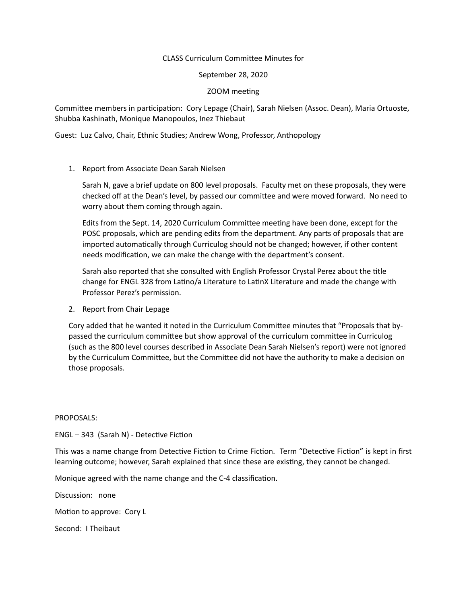# CLASS Curriculum Committee Minutes for

September 28, 2020

### ZOOM meeting

Committee members in participation: Cory Lepage (Chair), Sarah Nielsen (Assoc. Dean), Maria Ortuoste, Shubba Kashinath, Monique Manopoulos, Inez Thiebaut

Guest: Luz Calvo, Chair, Ethnic Studies; Andrew Wong, Professor, Anthopology

# 1. Report from Associate Dean Sarah Nielsen

Sarah N, gave a brief update on 800 level proposals. Faculty met on these proposals, they were checked off at the Dean's level, by passed our committee and were moved forward. No need to worry about them coming through again.

Edits from the Sept. 14, 2020 Curriculum Committee meeting have been done, except for the POSC proposals, which are pending edits from the department. Any parts of proposals that are imported automatically through Curriculog should not be changed; however, if other content needs modification, we can make the change with the department's consent.

Sarah also reported that she consulted with English Professor Crystal Perez about the title change for ENGL 328 from Latino/a Literature to LatinX Literature and made the change with Professor Perez's permission.

2. Report from Chair Lepage

Cory added that he wanted it noted in the Curriculum Committee minutes that "Proposals that bypassed the curriculum committee but show approval of the curriculum committee in Curriculog (such as the 800 level courses described in Associate Dean Sarah Nielsen's report) were not ignored by the Curriculum Committee, but the Committee did not have the authority to make a decision on those proposals.

PROPOSALS:

 $ENGL - 343$  (Sarah N) - Detective Fiction

This was a name change from Detective Fiction to Crime Fiction. Term "Detective Fiction" is kept in first learning outcome; however, Sarah explained that since these are existing, they cannot be changed.

Monique agreed with the name change and the C-4 classification.

Discussion: none

Motion to approve: Cory L

Second: I Theibaut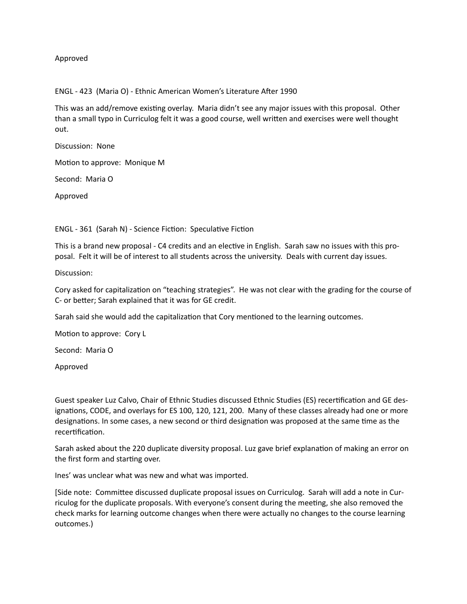Approved

ENGL - 423 (Maria O) - Ethnic American Women's Literature After 1990

This was an add/remove existing overlay. Maria didn't see any major issues with this proposal. Other than a small typo in Curriculog felt it was a good course, well written and exercises were well thought out.

Discussion: None

Motion to approve: Monique M

Second: Maria O

Approved

ENGL - 361 (Sarah N) - Science Fiction: Speculative Fiction

This is a brand new proposal - C4 credits and an elective in English. Sarah saw no issues with this proposal. Felt it will be of interest to all students across the university. Deals with current day issues.

Discussion:

Cory asked for capitalization on "teaching strategies". He was not clear with the grading for the course of C- or better; Sarah explained that it was for GE credit.

Sarah said she would add the capitalization that Cory mentioned to the learning outcomes.

Motion to approve: Cory L

Second: Maria O

Approved

Guest speaker Luz Calvo, Chair of Ethnic Studies discussed Ethnic Studies (ES) recertification and GE designations, CODE, and overlays for ES 100, 120, 121, 200. Many of these classes already had one or more designations. In some cases, a new second or third designation was proposed at the same time as the recertification.

Sarah asked about the 220 duplicate diversity proposal. Luz gave brief explanation of making an error on the first form and starting over.

Ines' was unclear what was new and what was imported.

[Side note: Committee discussed duplicate proposal issues on Curriculog. Sarah will add a note in Curriculog for the duplicate proposals. With everyone's consent during the meeting, she also removed the check marks for learning outcome changes when there were actually no changes to the course learning outcomes.)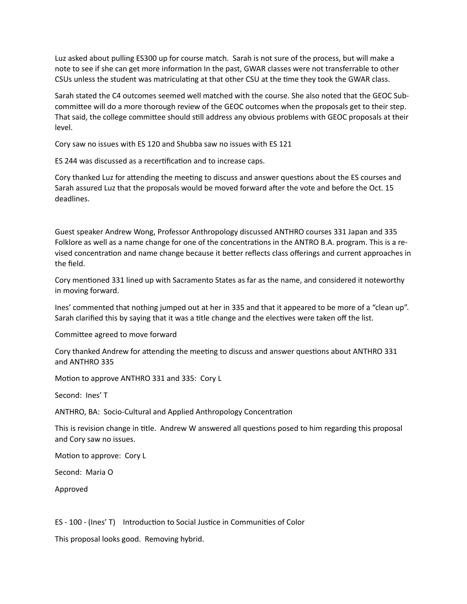Luz asked about pulling ES300 up for course match. Sarah is not sure of the process, but will make a note to see if she can get more information In the past, GWAR classes were not transferrable to other CSUs unless the student was matriculating at that other CSU at the time they took the GWAR class.

Sarah stated the C4 outcomes seemed well matched with the course. She also noted that the GEOC Subcommittee will do a more thorough review of the GEOC outcomes when the proposals get to their step. That said, the college committee should still address any obvious problems with GEOC proposals at their level.

Cory saw no issues with ES 120 and Shubba saw no issues with ES 121

ES 244 was discussed as a recertification and to increase caps.

Cory thanked Luz for attending the meeting to discuss and answer questions about the ES courses and Sarah assured Luz that the proposals would be moved forward after the vote and before the Oct. 15 deadlines.

Guest speaker Andrew Wong, Professor Anthropology discussed ANTHRO courses 331 Japan and 335 Folklore as well as a name change for one of the concentrations in the ANTRO B.A. program. This is a revised concentration and name change because it better reflects class offerings and current approaches in the field.

Cory mentioned 331 lined up with Sacramento States as far as the name, and considered it noteworthy in moving forward.

Ines' commented that nothing jumped out at her in 335 and that it appeared to be more of a "clean up". Sarah clarified this by saying that it was a title change and the electives were taken off the list.

Committee agreed to move forward

Cory thanked Andrew for attending the meeting to discuss and answer questions about ANTHRO 331 and ANTHRO 335

Motion to approve ANTHRO 331 and 335: Cory L

Second: Ines' T

ANTHRO, BA: Socio-Cultural and Applied Anthropology Concentration

This is revision change in title. Andrew W answered all questions posed to him regarding this proposal and Cory saw no issues.

Motion to approve: Cory L

Second: Maria O

Approved

ES - 100 - (Ines' T) Introduction to Social Justice in Communities of Color

This proposal looks good. Removing hybrid.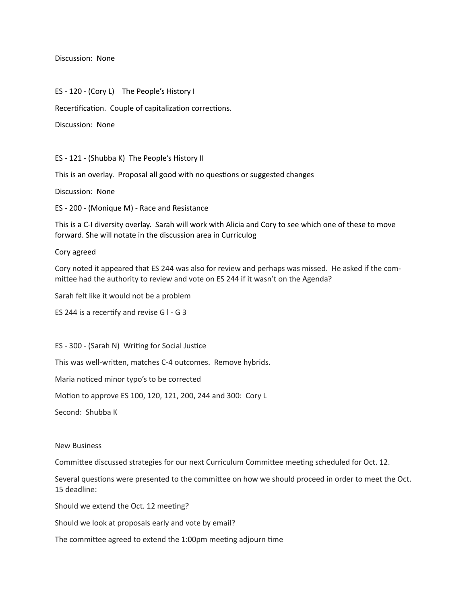Discussion: None

ES - 120 - (Cory L) The People's History I

Recertification. Couple of capitalization corrections.

Discussion: None

ES - 121 - (Shubba K) The People's History II

This is an overlay. Proposal all good with no questions or suggested changes

Discussion: None

ES - 200 - (Monique M) - Race and Resistance

This is a C-I diversity overlay. Sarah will work with Alicia and Cory to see which one of these to move forward. She will notate in the discussion area in Curriculog

#### Cory agreed

Cory noted it appeared that ES 244 was also for review and perhaps was missed. He asked if the committee had the authority to review and vote on ES 244 if it wasn't on the Agenda?

Sarah felt like it would not be a problem

ES 244 is a recertify and revise  $G$  I - G 3

ES - 300 - (Sarah N) Writing for Social Justice

This was well-written, matches C-4 outcomes. Remove hybrids.

Maria noticed minor typo's to be corrected

Motion to approve ES 100, 120, 121, 200, 244 and 300: Cory L

Second: Shubba K

#### New Business

Committee discussed strategies for our next Curriculum Committee meeting scheduled for Oct. 12.

Several questions were presented to the committee on how we should proceed in order to meet the Oct. 15 deadline:

Should we extend the Oct. 12 meeting?

Should we look at proposals early and vote by email?

The committee agreed to extend the 1:00pm meeting adjourn time